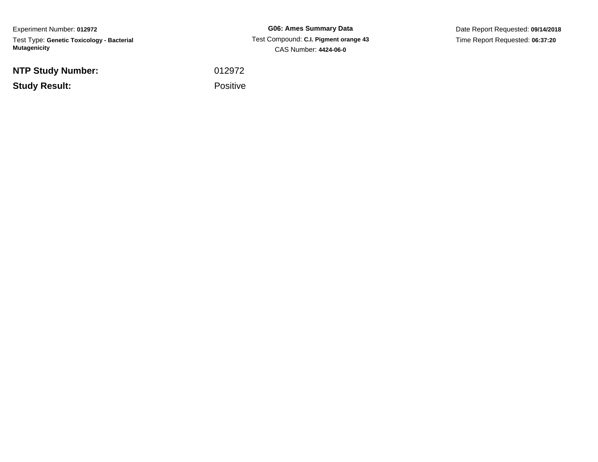Experiment Number: **012972**Test Type: **Genetic Toxicology - Bacterial Mutagenicity**

**NTP Study Number:**

**Study Result:**

**G06: Ames Summary Data** Test Compound: **C.I. Pigment orange 43**CAS Number: **4424-06-0**

Date Report Requested: **09/14/2018**Time Report Requested: **06:37:20**

<sup>012972</sup>

Positive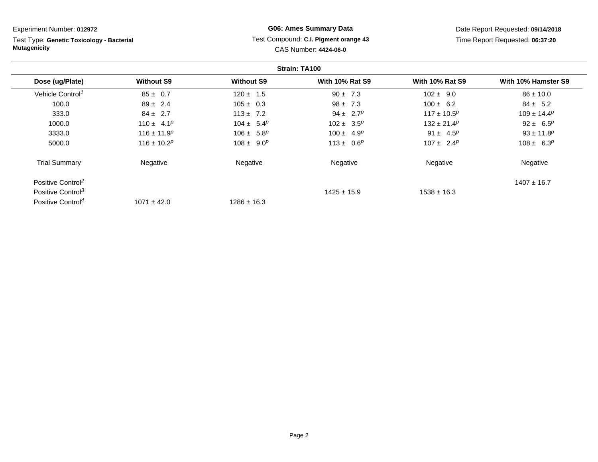Test Type: **Genetic Toxicology - Bacterial Mutagenicity**

## **G06: Ames Summary Data** Test Compound: **C.I. Pigment orange 43**CAS Number: **4424-06-0**

Date Report Requested: **09/14/2018**Time Report Requested: **06:37:20**

|                               |                   |                   | Strain: TA100                |                        |                              |
|-------------------------------|-------------------|-------------------|------------------------------|------------------------|------------------------------|
| Dose (ug/Plate)               | <b>Without S9</b> | <b>Without S9</b> | <b>With 10% Rat S9</b>       | <b>With 10% Rat S9</b> | With 10% Hamster S9          |
| Vehicle Control <sup>1</sup>  | $85 \pm 0.7$      | $120 \pm 1.5$     | $90 \pm 7.3$                 | $102 \pm 9.0$          | $86 \pm 10.0$                |
| 100.0                         | $89 \pm 2.4$      | $105 \pm 0.3$     | $98 \pm 7.3$                 | $100 \pm 6.2$          | $84 \pm 5.2$                 |
| 333.0                         | $84 \pm 2.7$      | $113 \pm 7.2$     | 94 ± 2.7 <sup><i>p</i></sup> | $117 \pm 10.5^p$       | $109 \pm 14.4^p$             |
| 1000.0                        | $110 \pm 4.1^p$   | $104 \pm 5.4^p$   | $102 \pm 3.5^p$              | $132 \pm 21.4^p$       | 92 ± 6.5 <sup><i>p</i></sup> |
| 3333.0                        | $116 \pm 11.9^p$  | $106 \pm 5.8^p$   | $100 \pm 4.9^p$              | 91 ± $4.5^p$           | $93 \pm 11.8$ <sup>p</sup>   |
| 5000.0                        | $116 \pm 10.2^p$  | $108 \pm 9.0^p$   | $113 \pm 0.6^p$              | $107 \pm 2.4^p$        | $108 \pm 6.3^p$              |
| <b>Trial Summary</b>          | Negative          | Negative          | Negative                     | Negative               | Negative                     |
| Positive Control <sup>2</sup> |                   |                   |                              |                        | $1407 \pm 16.7$              |
| Positive Control <sup>3</sup> |                   |                   | $1425 \pm 15.9$              | $1538 \pm 16.3$        |                              |
| Positive Control <sup>4</sup> | $1071 \pm 42.0$   | $1286 \pm 16.3$   |                              |                        |                              |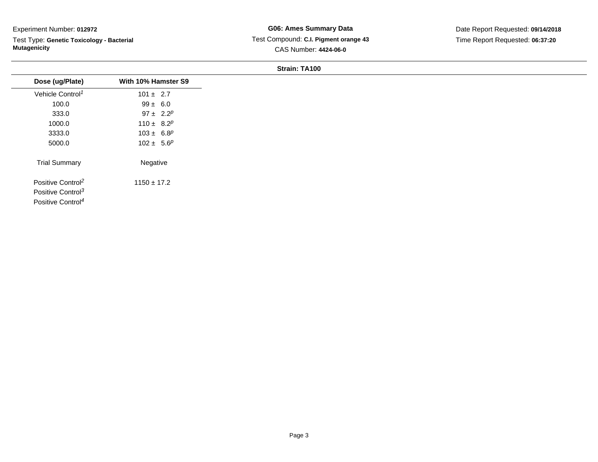Test Type: **Genetic Toxicology - Bacterial Mutagenicity**

## **G06: Ames Summary Data** Test Compound: **C.I. Pigment orange 43**CAS Number: **4424-06-0**

Date Report Requested: **09/14/2018**Time Report Requested: **06:37:20**

|                               | With 10% Hamster S9          |
|-------------------------------|------------------------------|
| Dose (ug/Plate)               |                              |
| Vehicle Control <sup>1</sup>  | $101 \pm 2.7$                |
| 100.0                         | $99 \pm 6.0$                 |
| 333.0                         | 97 ± 2.2 <sup><i>p</i></sup> |
| 1000.0                        | 110 ± $8.2^p$                |
| 3333.0                        | $103 \pm 6.8^p$              |
| 5000.0                        | $102 \pm 5.6^p$              |
| <b>Trial Summary</b>          | Negative                     |
| Positive Control <sup>2</sup> | $1150 \pm 17.2$              |
| Positive Control <sup>3</sup> |                              |
| Positive Control <sup>4</sup> |                              |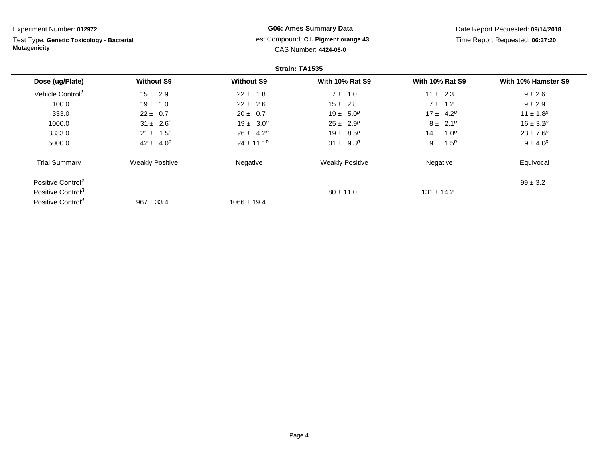Test Type: **Genetic Toxicology - Bacterial Mutagenicity**

## **G06: Ames Summary Data** Test Compound: **C.I. Pigment orange 43**CAS Number: **4424-06-0**

Date Report Requested: **09/14/2018**Time Report Requested: **06:37:20**

|                               |                        |                   | Strain: TA1535         |                        |                     |
|-------------------------------|------------------------|-------------------|------------------------|------------------------|---------------------|
| Dose (ug/Plate)               | <b>Without S9</b>      | <b>Without S9</b> | <b>With 10% Rat S9</b> | <b>With 10% Rat S9</b> | With 10% Hamster S9 |
| Vehicle Control <sup>1</sup>  | $15 \pm 2.9$           | $22 \pm 1.8$      | $7 \pm 1.0$            | $11 \pm 2.3$           | $9 \pm 2.6$         |
| 100.0                         | $19 \pm 1.0$           | $22 \pm 2.6$      | $15 \pm 2.8$           | $7 \pm 1.2$            | $9 + 2.9$           |
| 333.0                         | $22 \pm 0.7$           | $20 \pm 0.7$      | $19 \pm 5.0^p$         | $17 \pm 4.2^p$         | $11 \pm 1.8^p$      |
| 1000.0                        | $31 \pm 2.6^p$         | $19 \pm 3.0^p$    | $25 \pm 2.9^p$         | $8 \pm 2.1^p$          | $16 \pm 3.2^p$      |
| 3333.0                        | $21 \pm 1.5^p$         | $26 \pm 4.2^p$    | $19 \pm 8.5^p$         | $14 \pm 1.0^p$         | $23 \pm 7.6^p$      |
| 5000.0                        | $42 \pm 4.0^p$         | $24 \pm 11.1^p$   | $31 \pm 9.3^p$         | $9 \pm 1.5^p$          | $9 \pm 4.0^{p}$     |
| <b>Trial Summary</b>          | <b>Weakly Positive</b> | Negative          | <b>Weakly Positive</b> | Negative               | Equivocal           |
| Positive Control <sup>2</sup> |                        |                   |                        |                        | $99 \pm 3.2$        |
| Positive Control <sup>3</sup> |                        |                   | $80 \pm 11.0$          | $131 \pm 14.2$         |                     |
| Positive Control <sup>4</sup> | $967 \pm 33.4$         | $1066 \pm 19.4$   |                        |                        |                     |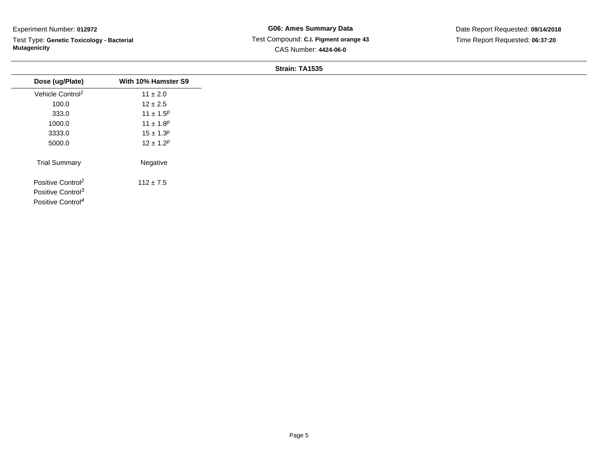Test Type: **Genetic Toxicology - Bacterial Mutagenicity**

# **G06: Ames Summary Data** Test Compound: **C.I. Pigment orange 43**CAS Number: **4424-06-0**

Date Report Requested: **09/14/2018**Time Report Requested: **06:37:20**

| Dose (ug/Plate)               | With 10% Hamster S9 |
|-------------------------------|---------------------|
| Vehicle Control <sup>1</sup>  | $11 \pm 2.0$        |
| 100.0                         | $12 \pm 2.5$        |
| 333.0                         | $11 \pm 1.5^p$      |
| 1000.0                        | $11 \pm 1.8^p$      |
| 3333.0                        | $15 \pm 1.3^p$      |
| 5000.0                        | $12 \pm 1.2^p$      |
| <b>Trial Summary</b>          | Negative            |
| Positive Control <sup>2</sup> | $112 \pm 7.5$       |
| Positive Control <sup>3</sup> |                     |
| Positive Control <sup>4</sup> |                     |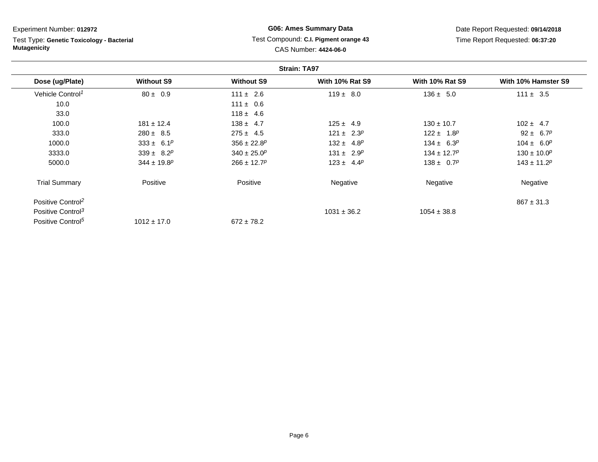Test Type: **Genetic Toxicology - Bacterial Mutagenicity**

# **G06: Ames Summary Data** Test Compound: **C.I. Pigment orange 43**CAS Number: **4424-06-0**

Date Report Requested: **09/14/2018**Time Report Requested: **06:37:20**

|                               |                             |                             | <b>Strain: TA97</b>    |                        |                              |
|-------------------------------|-----------------------------|-----------------------------|------------------------|------------------------|------------------------------|
| Dose (ug/Plate)               | <b>Without S9</b>           | <b>Without S9</b>           | <b>With 10% Rat S9</b> | <b>With 10% Rat S9</b> | With 10% Hamster S9          |
| Vehicle Control <sup>1</sup>  | $80 \pm 0.9$                | $111 \pm 2.6$               | $119 \pm 8.0$          | $136 \pm 5.0$          | $111 \pm 3.5$                |
| 10.0                          |                             | $111 \pm 0.6$               |                        |                        |                              |
| 33.0                          |                             | $118 \pm 4.6$               |                        |                        |                              |
| 100.0                         | $181 \pm 12.4$              | $138 \pm 4.7$               | $125 \pm 4.9$          | $130 \pm 10.7$         | $102 \pm 4.7$                |
| 333.0                         | $280 \pm 8.5$               | $275 \pm 4.5$               | $121 \pm 2.3^p$        | $122 \pm 1.8^p$        | 92 ± 6.7 <sup><i>p</i></sup> |
| 1000.0                        | $333 \pm 6.1^p$             | $356 \pm 22.8$ <sup>p</sup> | $132 \pm 4.8^p$        | $134 \pm 6.3^p$        | $104 \pm 6.0^p$              |
| 3333.0                        | $339 \pm 8.2^p$             | $340 \pm 25.0^p$            | $131 \pm 2.9^p$        | $134 \pm 12.7^p$       | $130 \pm 10.0^p$             |
| 5000.0                        | $344 \pm 19.8$ <sup>p</sup> | $266 \pm 12.7^p$            | $123 \pm 4.4^p$        | $138 \pm 0.7^p$        | $143 \pm 11.2^p$             |
| <b>Trial Summary</b>          | Positive                    | Positive                    | Negative               | Negative               | Negative                     |
| Positive Control <sup>2</sup> |                             |                             |                        |                        | $867 \pm 31.3$               |
| Positive Control <sup>3</sup> |                             |                             | $1031 \pm 36.2$        | $1054 \pm 38.8$        |                              |
| Positive Control <sup>5</sup> | $1012 \pm 17.0$             | $672 \pm 78.2$              |                        |                        |                              |

Page 6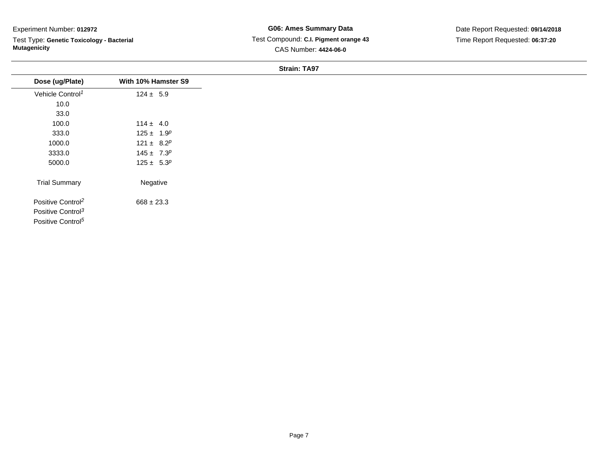Test Type: **Genetic Toxicology - Bacterial Mutagenicity**

### **G06: Ames Summary Data** Test Compound: **C.I. Pigment orange 43**CAS Number: **4424-06-0**

| Dose (ug/Plate)               | With 10% Hamster S9 |
|-------------------------------|---------------------|
| Vehicle Control <sup>1</sup>  | $124 \pm 5.9$       |
| 10.0                          |                     |
| 33.0                          |                     |
| 100.0                         | $114 \pm 4.0$       |
| 333.0                         | $125 \pm 1.9^p$     |
| 1000.0                        | 121 ± $8.2^p$       |
| 3333.0                        | $145 \pm 7.3^p$     |
| 5000.0                        | $125 \pm 5.3^p$     |
| <b>Trial Summary</b>          | Negative            |
| Positive Control <sup>2</sup> | $668 \pm 23.3$      |
| Positive Control <sup>3</sup> |                     |
| Positive Control <sup>5</sup> |                     |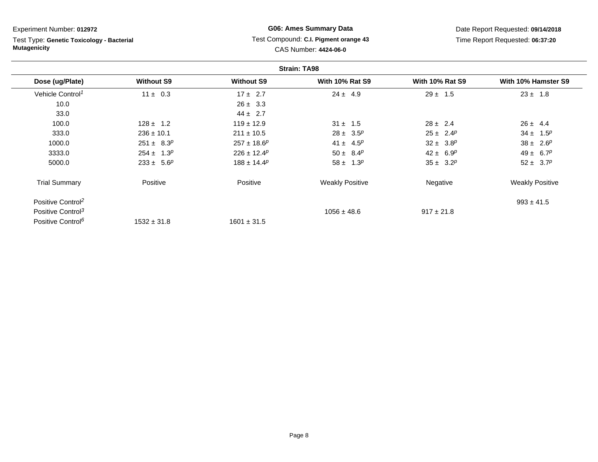Test Type: **Genetic Toxicology - Bacterial Mutagenicity**

# **G06: Ames Summary Data** Test Compound: **C.I. Pigment orange 43**CAS Number: **4424-06-0**

Date Report Requested: **09/14/2018**Time Report Requested: **06:37:20**

|                               |                   |                   | <b>Strain: TA98</b>          |                        |                        |
|-------------------------------|-------------------|-------------------|------------------------------|------------------------|------------------------|
| Dose (ug/Plate)               | <b>Without S9</b> | <b>Without S9</b> | <b>With 10% Rat S9</b>       | <b>With 10% Rat S9</b> | With 10% Hamster S9    |
| Vehicle Control <sup>1</sup>  | $11 \pm 0.3$      | $17 \pm 2.7$      | $24 \pm 4.9$                 | $29 \pm 1.5$           | $23 \pm 1.8$           |
| 10.0                          |                   | $26 \pm 3.3$      |                              |                        |                        |
| 33.0                          |                   | $44 \pm 2.7$      |                              |                        |                        |
| 100.0                         | $128 \pm 1.2$     | $119 \pm 12.9$    | $31 \pm 1.5$                 | $28 \pm 2.4$           | $26 \pm 4.4$           |
| 333.0                         | $236 \pm 10.1$    | $211 \pm 10.5$    | $28 \pm 3.5^p$               | $25 \pm 2.4^p$         | $34 \pm 1.5^p$         |
| 1000.0                        | $251 \pm 8.3^p$   | $257 \pm 18.6^p$  | 41 ± 4.5 <sup><i>p</i></sup> | $32 \pm 3.8^p$         | $38 \pm 2.6^p$         |
| 3333.0                        | $254 \pm 1.3^p$   | $226 \pm 12.4^p$  | $50 \pm 8.4^p$               | $42 \pm 6.9^p$         | $49 \pm 6.7^p$         |
| 5000.0                        | $233 \pm 5.6^p$   | $188 \pm 14.4^p$  | $58 \pm 1.3^p$               | $35 \pm 3.2^p$         | $52 \pm 3.7^p$         |
| <b>Trial Summary</b>          | Positive          | Positive          | <b>Weakly Positive</b>       | Negative               | <b>Weakly Positive</b> |
| Positive Control <sup>2</sup> |                   |                   |                              |                        | $993 \pm 41.5$         |
| Positive Control <sup>3</sup> |                   |                   | $1056 \pm 48.6$              | $917 \pm 21.8$         |                        |
| Positive Control <sup>6</sup> | $1532 \pm 31.8$   | $1601 \pm 31.5$   |                              |                        |                        |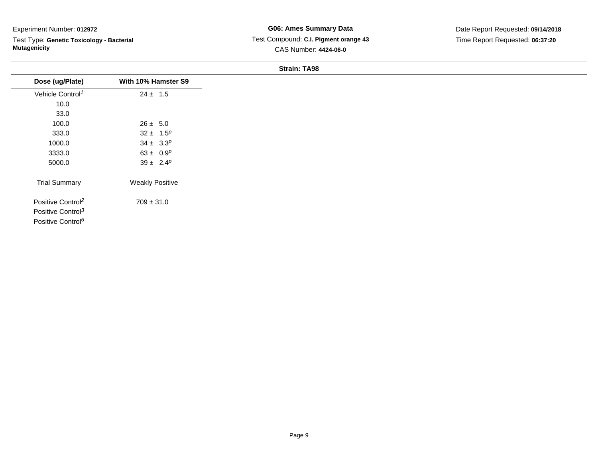Test Type: **Genetic Toxicology - Bacterial Mutagenicity**

### **G06: Ames Summary Data** Test Compound: **C.I. Pigment orange 43**CAS Number: **4424-06-0**

| Dose (ug/Plate)               | With 10% Hamster S9    |
|-------------------------------|------------------------|
| Vehicle Control <sup>1</sup>  | $24 \pm 1.5$           |
| 10.0                          |                        |
| 33.0                          |                        |
| 100.0                         | $26 \pm 5.0$           |
| 333.0                         | $32 \pm 1.5^p$         |
| 1000.0                        | $34 \pm 3.3^p$         |
| 3333.0                        | 63 ± $0.9^p$           |
| 5000.0                        | $39 \pm 2.4^p$         |
| <b>Trial Summary</b>          | <b>Weakly Positive</b> |
| Positive Control <sup>2</sup> | $709 \pm 31.0$         |
| Positive Control <sup>3</sup> |                        |
| Positive Control <sup>6</sup> |                        |